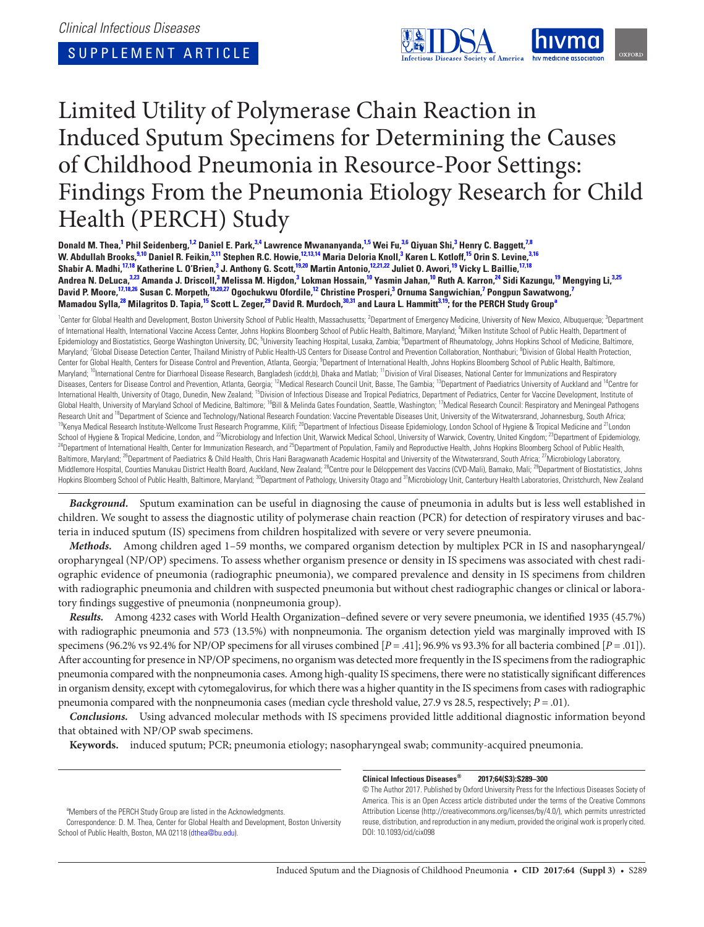SUPPLEMENT ARTICLE



# Limited Utility of Polymerase Chain Reaction in Induced Sputum Specimens for Determining the Causes of Childhood Pneumonia in Resource-Poor Settings: Findings From the Pneumonia Etiology Research for Child Health (PERCH) Study

Donald M. Thea,<sup>1</sup> Phil Seidenberg,<sup>1,2</sup> Daniel E. Park,<sup>3,4</sup> Lawrence Mwananyanda,<sup>1,5</sup> Wei Fu,<sup>3,6</sup> Qiyuan Shi,<sup>3</sup> Henry C. Baggett,<sup>7,8</sup> W. Abdullah Brooks,<sup>9,10</sup> Daniel R. Feikin,<sup>3,11</sup> Stephen R.C. Howie,<sup>12,13,14</sup> Maria Deloria Knoll,<sup>3</sup> Karen L. Kotloff,<sup>15</sup> Orin S. Levine,<sup>3,16</sup> Shabir A. Madhi,<sup>17,18</sup> Katherine L. O'Brien,<sup>3</sup> J. Anthony G. Scott,<sup>19,20</sup> Martin Antonio,<sup>12,21,22</sup> Juliet O. Awori,<sup>19</sup> Vicky L. Baillie,<sup>17,18</sup> Andrea N. DeLuca,<sup>3,23</sup> Amanda J. Driscoll,<sup>3</sup> Melissa M. Higdon,<sup>3</sup> Lokman Hossain,<sup>10</sup> Yasmin Jahan,<sup>10</sup> Ruth A. Karron,<sup>24</sup> Sidi Kazungu,<sup>19</sup> Mengying Li,<sup>3,25</sup> David P. Moore,<sup>17,18,26</sup> Susan C. Morpeth,<sup>19,20,27</sup> Ogochukwu Ofordile,<sup>12</sup> Christine Prosperi,<sup>3</sup> Ornuma Sangwichian,<sup>7</sup> Pongpun Sawatwong,<sup>7</sup> Mamadou Sylla,<sup>28</sup> Milagritos D. Tapia,<sup>15</sup> Scott L. Zeger,<sup>29</sup> David R. Murdoch,<sup>30,31</sup> and Laura L. Hammitt<sup>3,19</sup>; for the PERCH Study Group<sup>s</sup>

<sup>1</sup>Center for Global Health and Development, Boston University School of Public Health, Massachusetts; <sup>2</sup>Department of Emergency Medicine, University of New Mexico, Albuquerque; <sup>3</sup>Department of International Health, International Vaccine Access Center, Johns Hopkins Bloomberg School of Public Health, Baltimore, Maryland; <sup>4</sup>Milken Institute School of Public Health, Department of Epidemiology and Biostatistics, George Washington University, DC; <sup>5</sup>University Teaching Hospital, Lusaka, Zambia; <sup>6</sup>Department of Rheumatology, Johns Hopkins School of Medicine, Baltimore, Maryland; <sup>7</sup>Global Disease Detection Center, Thailand Ministry of Public Health-US Centers for Disease Control and Prevention Collaboration, Nonthaburi; <sup>8</sup>Division of Global Health Protection, Center for Global Health, Centers for Disease Control and Prevention, Atlanta, Georgia; <sup>9</sup>Department of International Health, Johns Hopkins Bloomberg School of Public Health, Baltimore, Maryland; <sup>10</sup>International Centre for Diarrhoeal Disease Research, Bangladesh (icddr,b), Dhaka and Matlab; <sup>11</sup>Division of Viral Diseases, National Center for Immunizations and Respiratory Diseases, Centers for Disease Control and Prevention, Atlanta, Georgia; <sup>12</sup>Medical Research Council Unit, Basse, The Gambia; <sup>13</sup>Department of Paediatrics University of Auckland and <sup>14</sup>Centre for International Health, University of Otago, Dunedin, New Zealand; <sup>15</sup>Division of Infectious Disease and Tropical Pediatrics, Department of Pediatrics, Center for Vaccine Development, Institute of Global Health, University of Maryland School of Medicine, Baltimore; <sup>16</sup>Bill & Melinda Gates Foundation, Seattle, Washington; <sup>17</sup>Medical Research Council: Respiratory and Meningeal Pathogens Research Unit and <sup>18</sup>Department of Science and Technology/National Research Foundation: Vaccine Preventable Diseases Unit, University of the Witwatersrand, Johannesburg, South Africa;<br><sup>19</sup>Kenya Medical Research Institute-School of Hygiene & Tropical Medicine, London, and <sup>22</sup>Microbiology and Infection Unit, Warwick Medical School, University of Warwick, Coventry, United Kingdom; <sup>23</sup>Department of Epidemiology,<br><sup>24</sup>Department of Internation Baltimore, Maryland; <sup>26</sup>Department of Paediatrics & Child Health, Chris Hani Baragwanath Academic Hospital and University of the Witwatersrand, South Africa; <sup>27</sup>Microbiology Laboratory, Middlemore Hospital, Counties Manukau District Health Board, Auckland, New Zealand; <sup>28</sup>Centre pour le Déloppement des Vaccins (CVD-Mali), Bamako, Mali; <sup>29</sup>Department of Biostatistics, Johns Hopkins Bloomberg School of Public Health, Baltimore, Maryland; <sup>30</sup>Department of Pathology, University Otago and <sup>31</sup>Microbiology Unit, Canterbury Health Laboratories, Christchurch, New Zealand

*Background.* Sputum examination can be useful in diagnosing the cause of pneumonia in adults but is less well established in children. We sought to assess the diagnostic utility of polymerase chain reaction (PCR) for detection of respiratory viruses and bacteria in induced sputum (IS) specimens from children hospitalized with severe or very severe pneumonia.

*Methods.* Among children aged 1–59 months, we compared organism detection by multiplex PCR in IS and nasopharyngeal/ oropharyngeal (NP/OP) specimens. To assess whether organism presence or density in IS specimens was associated with chest radiographic evidence of pneumonia (radiographic pneumonia), we compared prevalence and density in IS specimens from children with radiographic pneumonia and children with suspected pneumonia but without chest radiographic changes or clinical or laboratory findings suggestive of pneumonia (nonpneumonia group).

*Results.* Among 4232 cases with World Health Organization–defined severe or very severe pneumonia, we identified 1935 (45.7%) with radiographic pneumonia and 573 (13.5%) with nonpneumonia. The organism detection yield was marginally improved with IS specimens (96.2% vs 92.4% for NP/OP specimens for all viruses combined [*P* = .41]; 96.9% vs 93.3% for all bacteria combined [*P* = .01]). After accounting for presence in NP/OP specimens, no organism was detected more frequently in the IS specimens from the radiographic pneumonia compared with the nonpneumonia cases. Among high-quality IS specimens, there were no statistically significant differences in organism density, except with cytomegalovirus, for which there was a higher quantity in the IS specimens from cases with radiographic pneumonia compared with the nonpneumonia cases (median cycle threshold value, 27.9 vs 28.5, respectively; *P* = .01).

*Conclusions.* Using advanced molecular methods with IS specimens provided little additional diagnostic information beyond that obtained with NP/OP swab specimens.

**Keywords.** induced sputum; PCR; pneumonia etiology; nasopharyngeal swab; community-acquired pneumonia.

<sup>a</sup>Members of the PERCH Study Group are listed in the Acknowledgments.

Correspondence: D. M. Thea, Center for Global Health and Development, Boston University School of Public Health, Boston, MA 02118 (dthea@bu.edu).

#### **Clinical Infectious Diseases® 2017;64(S3):S289–300**

© The Author 2017. Published by Oxford University Press for the Infectious Diseases Society of America. This is an Open Access article distributed under the terms of the Creative Commons Attribution License (http://creativecommons.org/licenses/by/4.0/), which permits unrestricted reuse, distribution, and reproduction in any medium, provided the original work is properly cited. DOI: 10.1093/cid/cix098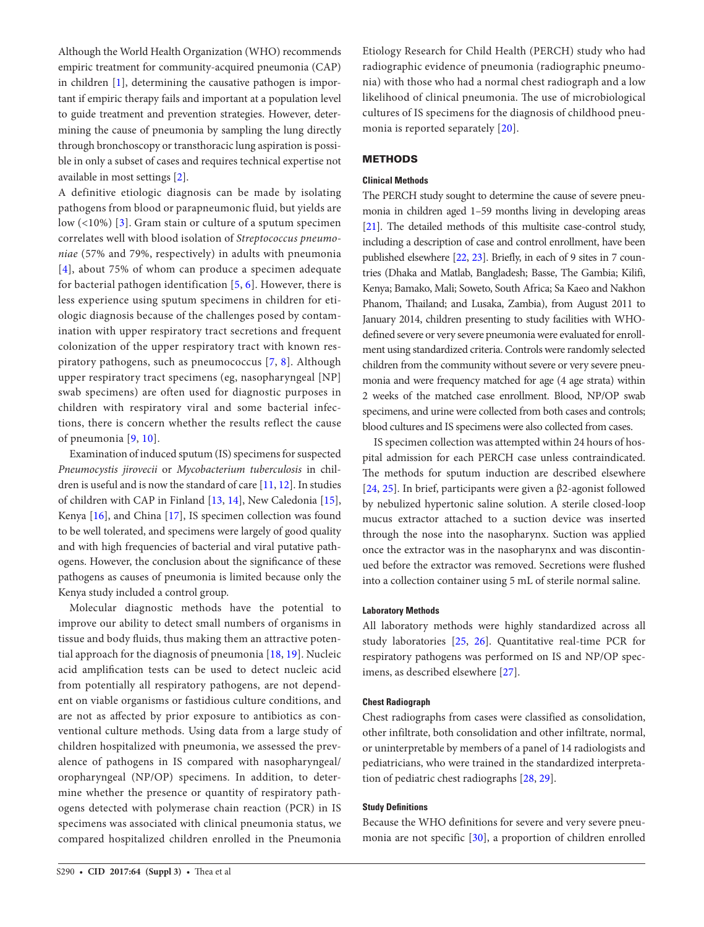Although the World Health Organization (WHO) recommends empiric treatment for community-acquired pneumonia (CAP) in children [1], determining the causative pathogen is important if empiric therapy fails and important at a population level to guide treatment and prevention strategies. However, determining the cause of pneumonia by sampling the lung directly through bronchoscopy or transthoracic lung aspiration is possible in only a subset of cases and requires technical expertise not available in most settings [2].

A definitive etiologic diagnosis can be made by isolating pathogens from blood or parapneumonic fluid, but yields are low (<10%) [3]. Gram stain or culture of a sputum specimen correlates well with blood isolation of *Streptococcus pneumoniae* (57% and 79%, respectively) in adults with pneumonia [4], about 75% of whom can produce a specimen adequate for bacterial pathogen identification [5, 6]. However, there is less experience using sputum specimens in children for etiologic diagnosis because of the challenges posed by contamination with upper respiratory tract secretions and frequent colonization of the upper respiratory tract with known respiratory pathogens, such as pneumococcus [7, 8]. Although upper respiratory tract specimens (eg, nasopharyngeal [NP] swab specimens) are often used for diagnostic purposes in children with respiratory viral and some bacterial infections, there is concern whether the results reflect the cause of pneumonia [9, 10].

Examination of induced sputum (IS) specimens for suspected *Pneumocystis jirovecii* or *Mycobacterium tuberculosis* in children is useful and is now the standard of care  $[11, 12]$ . In studies of children with CAP in Finland [13, 14], New Caledonia [15], Kenya [16], and China [17], IS specimen collection was found to be well tolerated, and specimens were largely of good quality and with high frequencies of bacterial and viral putative pathogens. However, the conclusion about the significance of these pathogens as causes of pneumonia is limited because only the Kenya study included a control group.

Molecular diagnostic methods have the potential to improve our ability to detect small numbers of organisms in tissue and body fluids, thus making them an attractive potential approach for the diagnosis of pneumonia [18, 19]. Nucleic acid amplification tests can be used to detect nucleic acid from potentially all respiratory pathogens, are not dependent on viable organisms or fastidious culture conditions, and are not as affected by prior exposure to antibiotics as conventional culture methods. Using data from a large study of children hospitalized with pneumonia, we assessed the prevalence of pathogens in IS compared with nasopharyngeal/ oropharyngeal (NP/OP) specimens. In addition, to determine whether the presence or quantity of respiratory pathogens detected with polymerase chain reaction (PCR) in IS specimens was associated with clinical pneumonia status, we compared hospitalized children enrolled in the Pneumonia

Etiology Research for Child Health (PERCH) study who had radiographic evidence of pneumonia (radiographic pneumonia) with those who had a normal chest radiograph and a low likelihood of clinical pneumonia. The use of microbiological cultures of IS specimens for the diagnosis of childhood pneumonia is reported separately [20].

# **METHODS**

# **Clinical Methods**

The PERCH study sought to determine the cause of severe pneumonia in children aged 1–59 months living in developing areas [21]. The detailed methods of this multisite case-control study, including a description of case and control enrollment, have been published elsewhere [22, 23]. Briefly, in each of 9 sites in 7 countries (Dhaka and Matlab, Bangladesh; Basse, The Gambia; Kilifi, Kenya; Bamako, Mali; Soweto, South Africa; Sa Kaeo and Nakhon Phanom, Thailand; and Lusaka, Zambia), from August 2011 to January 2014, children presenting to study facilities with WHOdefined severe or very severe pneumonia were evaluated for enrollment using standardized criteria. Controls were randomly selected children from the community without severe or very severe pneumonia and were frequency matched for age (4 age strata) within 2 weeks of the matched case enrollment. Blood, NP/OP swab specimens, and urine were collected from both cases and controls; blood cultures and IS specimens were also collected from cases.

IS specimen collection was attempted within 24 hours of hospital admission for each PERCH case unless contraindicated. The methods for sputum induction are described elsewhere [24, 25]. In brief, participants were given a β2-agonist followed by nebulized hypertonic saline solution. A sterile closed-loop mucus extractor attached to a suction device was inserted through the nose into the nasopharynx. Suction was applied once the extractor was in the nasopharynx and was discontinued before the extractor was removed. Secretions were flushed into a collection container using 5 mL of sterile normal saline.

## **Laboratory Methods**

All laboratory methods were highly standardized across all study laboratories [25, 26]. Quantitative real-time PCR for respiratory pathogens was performed on IS and NP/OP specimens, as described elsewhere [27].

### **Chest Radiograph**

Chest radiographs from cases were classified as consolidation, other infiltrate, both consolidation and other infiltrate, normal, or uninterpretable by members of a panel of 14 radiologists and pediatricians, who were trained in the standardized interpretation of pediatric chest radiographs [28, 29].

## **Study Definitions**

Because the WHO definitions for severe and very severe pneumonia are not specific [30], a proportion of children enrolled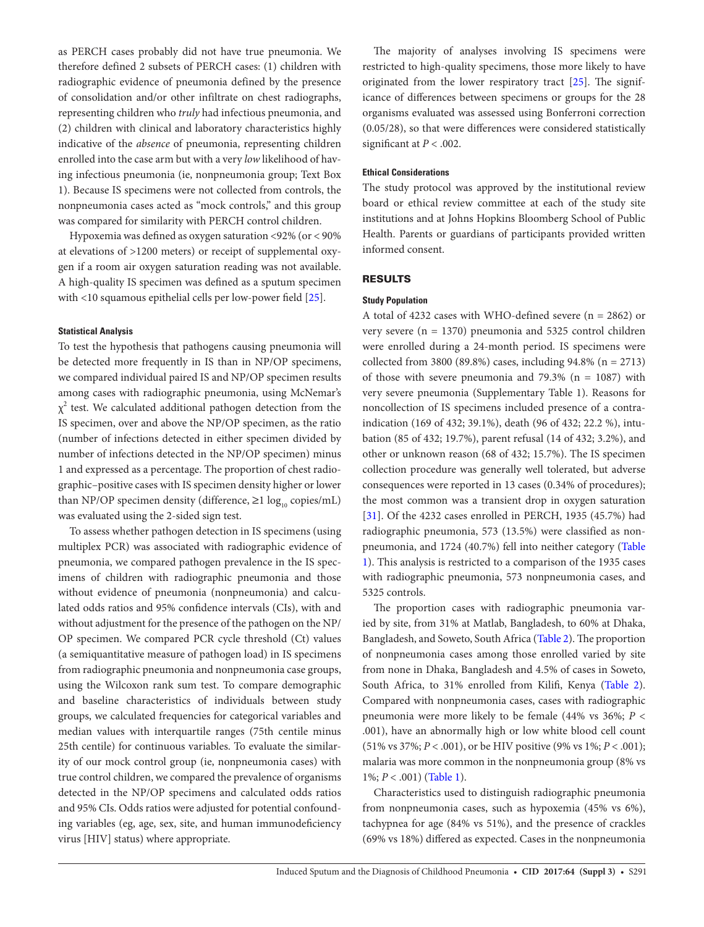as PERCH cases probably did not have true pneumonia. We therefore defined 2 subsets of PERCH cases: (1) children with radiographic evidence of pneumonia defined by the presence of consolidation and/or other infiltrate on chest radiographs, representing children who *truly* had infectious pneumonia, and (2) children with clinical and laboratory characteristics highly indicative of the *absence* of pneumonia, representing children enrolled into the case arm but with a very *low* likelihood of having infectious pneumonia (ie, nonpneumonia group; Text Box 1). Because IS specimens were not collected from controls, the nonpneumonia cases acted as "mock controls," and this group was compared for similarity with PERCH control children.

Hypoxemia was defined as oxygen saturation <92% (or < 90% at elevations of >1200 meters) or receipt of supplemental oxygen if a room air oxygen saturation reading was not available. A high-quality IS specimen was defined as a sputum specimen with <10 squamous epithelial cells per low-power field [25].

#### **Statistical Analysis**

To test the hypothesis that pathogens causing pneumonia will be detected more frequently in IS than in NP/OP specimens, we compared individual paired IS and NP/OP specimen results among cases with radiographic pneumonia, using McNemar's  $\chi^2$  test. We calculated additional pathogen detection from the IS specimen, over and above the NP/OP specimen, as the ratio (number of infections detected in either specimen divided by number of infections detected in the NP/OP specimen) minus 1 and expressed as a percentage. The proportion of chest radiographic–positive cases with IS specimen density higher or lower than NP/OP specimen density (difference,  $\geq 1 \log_{10}$  copies/mL) was evaluated using the 2-sided sign test.

To assess whether pathogen detection in IS specimens (using multiplex PCR) was associated with radiographic evidence of pneumonia, we compared pathogen prevalence in the IS specimens of children with radiographic pneumonia and those without evidence of pneumonia (nonpneumonia) and calculated odds ratios and 95% confidence intervals (CIs), with and without adjustment for the presence of the pathogen on the NP/ OP specimen. We compared PCR cycle threshold (Ct) values (a semiquantitative measure of pathogen load) in IS specimens from radiographic pneumonia and nonpneumonia case groups, using the Wilcoxon rank sum test. To compare demographic and baseline characteristics of individuals between study groups, we calculated frequencies for categorical variables and median values with interquartile ranges (75th centile minus 25th centile) for continuous variables. To evaluate the similarity of our mock control group (ie, nonpneumonia cases) with true control children, we compared the prevalence of organisms detected in the NP/OP specimens and calculated odds ratios and 95% CIs. Odds ratios were adjusted for potential confounding variables (eg, age, sex, site, and human immunodeficiency virus [HIV] status) where appropriate.

The majority of analyses involving IS specimens were restricted to high-quality specimens, those more likely to have originated from the lower respiratory tract [25]. The significance of differences between specimens or groups for the 28 organisms evaluated was assessed using Bonferroni correction (0.05/28), so that were differences were considered statistically significant at  $P < .002$ .

#### **Ethical Considerations**

The study protocol was approved by the institutional review board or ethical review committee at each of the study site institutions and at Johns Hopkins Bloomberg School of Public Health. Parents or guardians of participants provided written informed consent.

# RESULTS

### **Study Population**

A total of 4232 cases with WHO-defined severe (n = 2862) or very severe (n = 1370) pneumonia and 5325 control children were enrolled during a 24-month period. IS specimens were collected from 3800 (89.8%) cases, including  $94.8\%$  (n = 2713) of those with severe pneumonia and  $79.3\%$  (n = 1087) with very severe pneumonia (Supplementary Table 1). Reasons for noncollection of IS specimens included presence of a contraindication (169 of 432; 39.1%), death (96 of 432; 22.2 %), intubation (85 of 432; 19.7%), parent refusal (14 of 432; 3.2%), and other or unknown reason (68 of 432; 15.7%). The IS specimen collection procedure was generally well tolerated, but adverse consequences were reported in 13 cases (0.34% of procedures); the most common was a transient drop in oxygen saturation [31]. Of the 4232 cases enrolled in PERCH, 1935 (45.7%) had radiographic pneumonia, 573 (13.5%) were classified as nonpneumonia, and 1724 (40.7%) fell into neither category (Table 1). This analysis is restricted to a comparison of the 1935 cases with radiographic pneumonia, 573 nonpneumonia cases, and 5325 controls.

The proportion cases with radiographic pneumonia varied by site, from 31% at Matlab, Bangladesh, to 60% at Dhaka, Bangladesh, and Soweto, South Africa (Table 2). The proportion of nonpneumonia cases among those enrolled varied by site from none in Dhaka, Bangladesh and 4.5% of cases in Soweto, South Africa, to 31% enrolled from Kilifi, Kenya (Table 2). Compared with nonpneumonia cases, cases with radiographic pneumonia were more likely to be female (44% vs 36%; *P* < .001), have an abnormally high or low white blood cell count (51% vs 37%; *P* < .001), or be HIV positive (9% vs 1%; *P* < .001); malaria was more common in the nonpneumonia group (8% vs 1%; *P* < .001) (Table 1).

Characteristics used to distinguish radiographic pneumonia from nonpneumonia cases, such as hypoxemia (45% vs 6%), tachypnea for age (84% vs 51%), and the presence of crackles (69% vs 18%) differed as expected. Cases in the nonpneumonia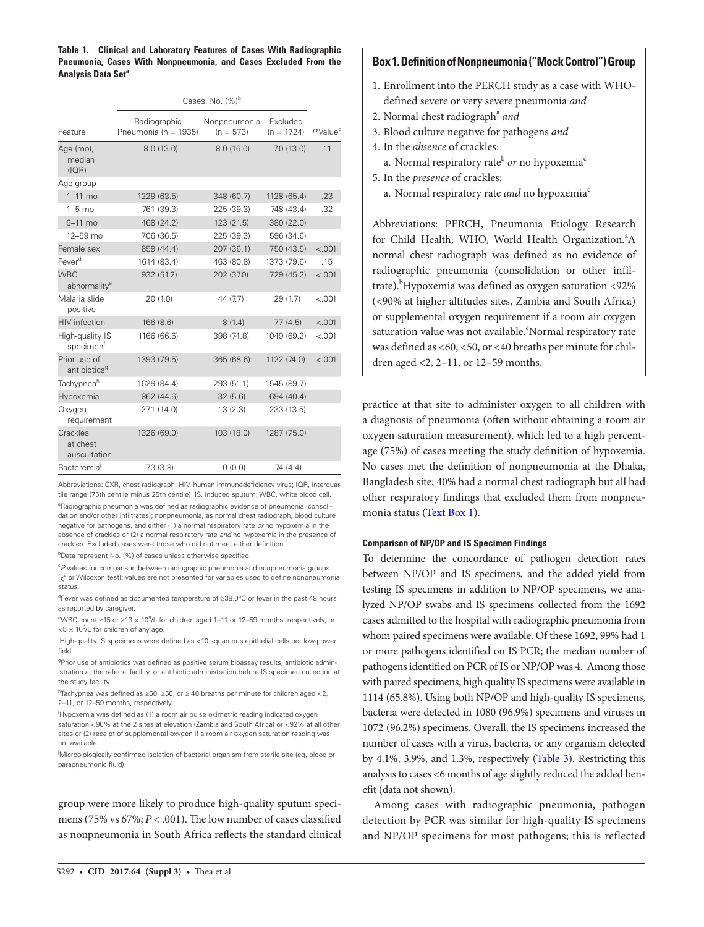**Table 1. Clinical and Laboratory Features of Cases With Radiographic Pneumonia, Cases With Nonpneumonia, and Cases Excluded From the Analysis Data Seta**

|                                          | Cases, No. $(%)^b$                   |                             |                          |                      |  |  |  |
|------------------------------------------|--------------------------------------|-----------------------------|--------------------------|----------------------|--|--|--|
| Feature                                  | Radiographic<br>Pneumonia (n = 1935) | Nonpneumonia<br>$(n = 573)$ | Excluded<br>$(n = 1724)$ | $P$ Value $^{\circ}$ |  |  |  |
| Age (mo),<br>median<br>(IOR)             | 8.0(13.0)                            | 8.0(16.0)                   | 7.0(13.0)                | .11                  |  |  |  |
| Age group                                |                                      |                             |                          |                      |  |  |  |
| $1-11$ mo                                | 1229 (63.5)                          | 348 (60.7)                  | 1128 (65.4)              | .23                  |  |  |  |
| $1-5$ mo                                 | 761 (39.3)                           | 225 (39.3)                  | 748 (43.4)               | .32                  |  |  |  |
| $6-11$ mo                                | 468 (24.2)                           | 123 (21.5)                  | 380 (22.0)               |                      |  |  |  |
| $12 - 59$ mo                             | 706 (36.5)                           | 225 (39.3)                  | 596 (34.6)               |                      |  |  |  |
| Female sex                               | 859 (44.4)                           | 207 (36.1)                  | 750 (43.5)               | $-.001$              |  |  |  |
| Fever <sup>d</sup>                       | 1614 (83.4)                          | 463 (80.8)                  | 1373 (79.6)              | .15                  |  |  |  |
| <b>WBC</b><br>abnormality <sup>e</sup>   | 932 (51.2)                           | 202 (37.0)                  | 729 (45.2)               | $-.001$              |  |  |  |
| Malaria slide<br>positive                | 20(1.0)                              | 44 (7.7)                    | 29(1.7)                  | $-.001$              |  |  |  |
| <b>HIV</b> infection                     | 166 (8.6)                            | 8(1.4)                      | 77(4.5)                  | < .001               |  |  |  |
| High-quality IS<br>specimen <sup>f</sup> | 1166 (66.6)                          | 398 (74.8)                  | 1049 (69.2)              | $-.001$              |  |  |  |
| Prior use of<br>antibiotics <sup>9</sup> | 1393 (79.5)                          | 365 (68.6)                  | 1122 (74.0)              | $-.001$              |  |  |  |
| Tachypnea <sup>h</sup>                   | 1629 (84.4)                          | 293 (51.1)                  | 1545 (89.7)              |                      |  |  |  |
| Hypoxemia <sup>'</sup>                   | 862 (44.6)                           | 32(5.6)                     | 694 (40.4)               |                      |  |  |  |
| Oxygen<br>requirement                    | 271 (14.0)                           | 13(2.3)                     | 233 (13.5)               |                      |  |  |  |
| Crackles<br>at chest<br>auscultation     | 1326 (69.0)                          | 103 (18.0)                  | 1287 (75.0)              |                      |  |  |  |
| Bacteremia <sup>j</sup>                  | 73 (3.8)                             | 0(0.0)                      | 74 (4.4)                 |                      |  |  |  |

Abbreviations: CXR, chest radiograph; HIV, human immunodeficiency virus; IQR, interquartile range (75th centile minus 25th centile); IS, induced sputum; WBC, white blood cell.

<sup>a</sup>Radiographic pneumonia was defined as radiographic evidence of pneumonia (consolidation and/or other infiltrates); nonpneumonia, as normal chest radiograph, blood culture negative for pathogens, and either (1) a normal respiratory rate *or* no hypoxemia in the absence of crackles or (2) a normal respiratory rate *and* no hypoxemia in the presence of crackles. Excluded cases were those who did not meet either definition.

<sup>b</sup>Data represent No. (%) of cases unless otherwise specified.

<sup>c</sup>P values for comparison between radiographic pneumonia and nonpneumonia groups  $\chi^2$  or Wilcoxon test); values are not presented for variables used to define nonpneumonia status.

d Fever was defined as documented temperature of ≥38.0°C or fever in the past 48 hours as reported by caregiver.

<sup>e</sup>WBC count ≥15 or ≥13  $\times$  10<sup>9</sup>/L for children aged 1–11 or 12–59 months, respectively, or  $<$  5  $\times$  10<sup>9</sup>/L for children of any age.

f High-quality IS specimens were defined as <10 squamous epithelial cells per low-power field.

<sup>9</sup>Prior use of antibiotics was defined as positive serum bioassay results, antibiotic administration at the referral facility, or antibiotic administration before IS specimen collection at the study facility.

h Tachypnea was defined as ≥60, ≥50, or ≥ 40 breaths per minute for children aged <2, 2–11, or 12–59 months, respectively.

i Hypoxemia was defined as (1) a room air pulse oximetric reading indicated oxygen saturation <90% at the 2 sites at elevation (Zambia and South Africa) or <92% at all other sites or (2) receipt of supplemental oxygen if a room air oxygen saturation reading was not available.

Microbiologically confirmed isolation of bacterial organism from sterile site (eg, blood or parapneumonic fluid).

group were more likely to produce high-quality sputum specimens (75% vs 67%; *P* < .001). The low number of cases classified as nonpneumonia in South Africa reflects the standard clinical

## **Box 1. Definition of Nonpneumonia ("Mock Control") Group**

- 1. Enrollment into the PERCH study as a case with WHOdefined severe or very severe pneumonia *and*
- 2. Normal chest radiograph<sup>a</sup> and
- 3. Blood culture negative for pathogens *and*
- 4. In the *absence* of crackles:
	- a. Normal respiratory rate<sup>b</sup> *or* no hypoxemia<sup>c</sup>
- 5. In the *presence* of crackles:
	- a. Normal respiratory rate *and* no hypoxemia<sup>c</sup>

Abbreviations: PERCH, Pneumonia Etiology Research for Child Health; WHO, World Health Organization.<sup>a</sup>A normal chest radiograph was defined as no evidence of radiographic pneumonia (consolidation or other infiltrate).<sup>b</sup>Hypoxemia was defined as oxygen saturation <92% (<90% at higher altitudes sites, Zambia and South Africa) or supplemental oxygen requirement if a room air oxygen saturation value was not available. Normal respiratory rate was defined as <60, <50, or <40 breaths per minute for children aged <2, 2–11, or 12–59 months.

practice at that site to administer oxygen to all children with a diagnosis of pneumonia (often without obtaining a room air oxygen saturation measurement), which led to a high percentage (75%) of cases meeting the study definition of hypoxemia. No cases met the definition of nonpneumonia at the Dhaka, Bangladesh site; 40% had a normal chest radiograph but all had other respiratory findings that excluded them from nonpneumonia status (Text Box 1).

#### **Comparison of NP/OP and IS Specimen Findings**

To determine the concordance of pathogen detection rates between NP/OP and IS specimens, and the added yield from testing IS specimens in addition to NP/OP specimens, we analyzed NP/OP swabs and IS specimens collected from the 1692 cases admitted to the hospital with radiographic pneumonia from whom paired specimens were available. Of these 1692, 99% had 1 or more pathogens identified on IS PCR; the median number of pathogens identified on PCR of IS or NP/OP was 4. Among those with paired specimens, high quality IS specimens were available in 1114 (65.8%). Using both NP/OP and high-quality IS specimens, bacteria were detected in 1080 (96.9%) specimens and viruses in 1072 (96.2%) specimens. Overall, the IS specimens increased the number of cases with a virus, bacteria, or any organism detected by 4.1%, 3.9%, and 1.3%, respectively (Table 3). Restricting this analysis to cases <6 months of age slightly reduced the added benefit (data not shown).

Among cases with radiographic pneumonia, pathogen detection by PCR was similar for high-quality IS specimens and NP/OP specimens for most pathogens; this is reflected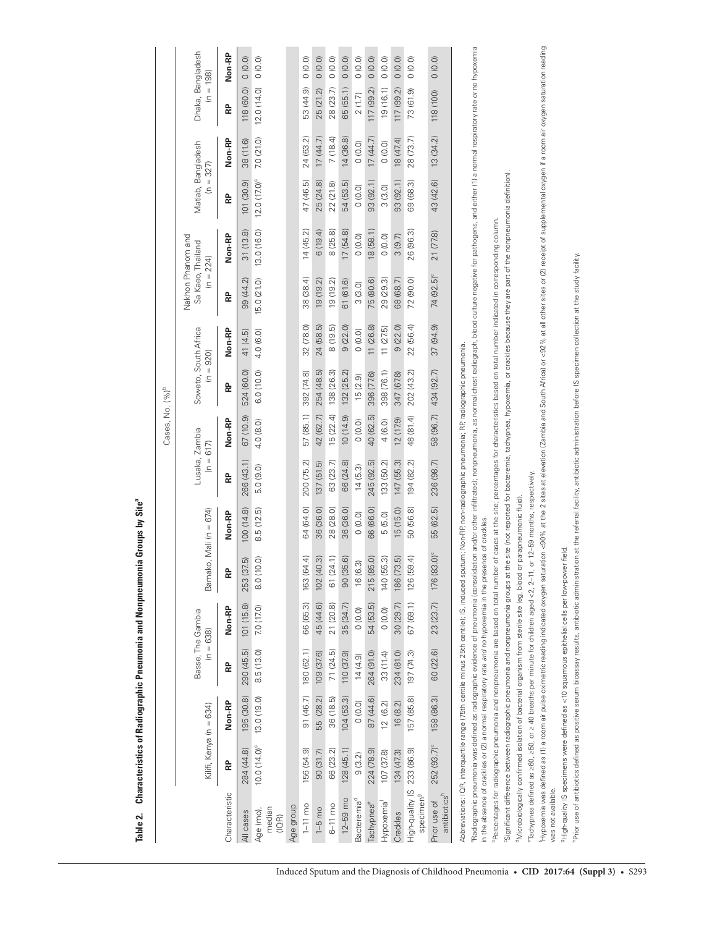|                                                                                                                                                                                                                                                                                                                                             |                          |             |            |                                  |                                       |                                |                               | Cases, No. (%) <sup>b</sup> |                                    |           |                                                       |                                                                                                                |                          |           |                                  |               |
|---------------------------------------------------------------------------------------------------------------------------------------------------------------------------------------------------------------------------------------------------------------------------------------------------------------------------------------------|--------------------------|-------------|------------|----------------------------------|---------------------------------------|--------------------------------|-------------------------------|-----------------------------|------------------------------------|-----------|-------------------------------------------------------|----------------------------------------------------------------------------------------------------------------|--------------------------|-----------|----------------------------------|---------------|
|                                                                                                                                                                                                                                                                                                                                             | Kilifi, Kenya (n = 634)  |             |            | Basse, The Gambia<br>$(n = 638)$ | Bamako, Mali (n = 674)                |                                | Lusaka, Zambia<br>$(n = 617)$ |                             | Soweto, South Africa<br>$\epsilon$ | $= 920$   | Nakhon Phanom and<br>Sa Kaeo, Thailand<br>$(n = 224)$ |                                                                                                                | Matlab, Bangladesh<br>Ξ  | $= 327$   | Dhaka, Bangladesh<br>$(n = 198)$ |               |
| Characteristic                                                                                                                                                                                                                                                                                                                              | 욶                        | Non-RP      | 운          | Non-RP                           | 운                                     | Non-RP                         | 운                             | Non-RP                      | 운                                  | Non-RP    | 욶                                                     | Non-RP                                                                                                         | 운                        | Non-RP    | 윤                                | <b>Non-RP</b> |
| All cases                                                                                                                                                                                                                                                                                                                                   | 284 (44.8)               | 195 (30.8)  | 290 (45.5) | 101 (15.8)                       | $\widetilde{\mathfrak{S}}$<br>253 (37 | 100 (14.8)                     | 266 (43.1)                    | 67 (10.9)                   | 524 (60.0)                         | 41 (4.5)  | 99 (44.2)                                             | 31(13.8)                                                                                                       | 101(30.9)                | 38 (11.6) | 118 (60.0)                       | 0(0.0)        |
| median<br>Age (mo),<br>(IOR)                                                                                                                                                                                                                                                                                                                | 10.0 (14.0) <sup>c</sup> | 13.0 (19.0) | 8.5 (13.0) | 7.0 (17.0)                       | õ<br>8.0 (10                          | 8.5(12.5)                      | 5.0 (9.0)                     | 4.0 (8.0)                   | 6.0 (10.0)                         | 4.0(6.0)  | 15.0 (21.0)                                           | 13.0 (16.0)                                                                                                    | 12.0 (17.0) <sup>c</sup> | 7.0(21.0) | 12.0(14.0)                       | 0(0.0)        |
| Age group                                                                                                                                                                                                                                                                                                                                   |                          |             |            |                                  |                                       |                                |                               |                             |                                    |           |                                                       |                                                                                                                |                          |           |                                  |               |
| $1 - 11$ mo                                                                                                                                                                                                                                                                                                                                 | 156 (54.9)               | 91 (46.7)   | 180 (62.1) | 66 (65.3)                        | 163 (64.4)                            | 64 (64.0)                      | 200 (75.2)                    | 57 (85.1)                   | 392 (74.8)                         | 32 (78.0) | 38 (38.4)                                             | 14(45.2)                                                                                                       | 47 (46.5)                | 24 (63.2) | 53 (44.9)                        | 0(0.0)        |
| $1-5$ mo                                                                                                                                                                                                                                                                                                                                    | 90(31.7)                 | 55 (28.2)   | 109 (37.6) | 45 (44.6)                        | 0.3)<br>102 (4C                       | 36 (36.0)                      | 137(51.5)                     | 42 (62.7)                   | 254 (48.5)                         | 24 (58.5) | 19(19.2)                                              | 6(19.4)                                                                                                        | 25 (24.8)                | 17(44.7)  | 25 (21.2)                        | 0(0.0)        |
| $6-11$ mo                                                                                                                                                                                                                                                                                                                                   | 66 (23.2)                | 36 (18.5)   | 71(24.5)   | 21 (20.8)                        | 61 (24.1)                             | 28 (28.0)                      | 63 (23.7)                     | 15(22.4)                    | 138 (26.3)                         | 8(19.5)   | 19 (19.2)                                             | 8 (25.8)                                                                                                       | 22(21.8)                 | 7(18.4)   | 28 (23.7)                        | 0(0.0)        |
| $12 - 59$ mo                                                                                                                                                                                                                                                                                                                                | 128(45.1)                | 104(53.3)   | 110 (37.9) | 35 (34.7)                        | 90 (35.6)                             | 36 (36.0)                      | 66 (24.8)                     | (0.410)                     | 132 (25.2)                         | 9(22.0)   | 61 (61.6)                                             | 17(54.8)                                                                                                       | 54 (53.5)                | 14(36.8)  | 65 (55.1)                        | 0(0.0)        |
| Bacteremia <sup>d</sup>                                                                                                                                                                                                                                                                                                                     | 9(3.2)                   | 0(0.0)      | 14(4.9)    | 0(0.0)                           | 16 (6.3)                              | 0(0.0)                         | 14(5.3)                       | 0(0.0)                      | 15(2.9)                            | 0(0.0)    | 3(3.0)                                                | (0.0)                                                                                                          | 0(0.0)                   | 0(0.0)    | 2(1.7)                           | 0(0.0)        |
| Tachypnea <sup>e</sup>                                                                                                                                                                                                                                                                                                                      | 224 (78.9)               | 87 (44.6)   | 264 (91.0) | 54 (53.5)                        | 215 (85.0)                            | 66 (66.0)                      | 245 (92.5)                    | 40 (62.5)                   | 396 (77.6)                         | 11(26.8)  | 75 (80.6)                                             | 18 (58.1)                                                                                                      | 93 (92.1)                | 17(44.7)  | 117 (99.2)                       | 0(0.0)        |
| Hypoxemia <sup>f</sup>                                                                                                                                                                                                                                                                                                                      | 107 (37.8)               | 12(6.2)     | 33 (11.4)  | 0(0.0)                           | 140 (55.3)                            | 5(5.0)                         | 133 (50.2)                    | 4 (6.0)                     | 398 (76.1)                         | 11(275)   | 29 (29.3)                                             | 0(0.0)                                                                                                         | 3(3.0)                   | 0(0.0)    | 19(16.1)                         | 0(0.0)        |
| Crackles                                                                                                                                                                                                                                                                                                                                    | 134 (47.3)               | 16 (8.2)    | 234 (81.0) | 30 (29.7)                        | 186 (73.5)                            | 15(15.0)                       | 147 (55.3)                    | 12(17.9)                    | 347 (67.8)                         | 9(22.0)   | 68 (68.7)                                             | 3(9.7)                                                                                                         | 93(92.1)                 | 18 (47.4) | 117 (99.2)                       | (0.0)         |
| High-quality IS<br>specimen <sup>9</sup>                                                                                                                                                                                                                                                                                                    | 233 (86.9)               | 157 (85.8)  | 197 (74.3) | 67 (69.1)                        | $\overline{4}$<br>126 (59             | 50 (56.8)                      | 194 (82.2)                    | 48 (81.4)                   | 202 (43.2)                         | 22 (56.4) | 72 (90.0)                                             | 26 (96.3)                                                                                                      | 69 (68.3)                | 28 (73.7) | 73 (61.9)                        | 0(0.0)        |
| antibiotics <sup>h</sup><br>Prior use of                                                                                                                                                                                                                                                                                                    | 252 (93.7) <sup>c</sup>  | 158 (86.3)  | 60 (22.6)  | 23 (23.7)                        | 176 (83.0) <sup>c</sup>               | 55 (62.5)                      | 236 (98.7)                    | 58 (96.7)                   | 434 (92.7)                         | 37(94.9)  | 74 (92.5) <sup>c</sup>                                | 21 (77.8)                                                                                                      | 43 (42.6)                | 13(34.2)  | 118 (100)                        | (0.0)         |
| Abbreviations: IQR, interquartile range (75th centile minus 25th centile); IS, induced sputum; Non-RP, non-radiographic pneumonia; RP, radiographic pneumonia.                                                                                                                                                                              |                          |             |            |                                  |                                       |                                |                               |                             |                                    |           |                                                       |                                                                                                                |                          |           |                                  |               |
| "Radiographic pneumonia was defined as radiographic evidence of pneumonia (consolidation and/or other infiltrates); nonpneumonia, as normal ofest radiograph, blood culture negative for pathogens, and either (1) a normal re<br>in the absence of crackles or (2) a normal respiratory rate and no hypoxemia in the presence of crackles. |                          |             |            |                                  |                                       |                                |                               |                             |                                    |           |                                                       |                                                                                                                |                          |           |                                  |               |
| Percentages for radiographic pneumonia and nonpneumonia are based on total number                                                                                                                                                                                                                                                           |                          |             |            |                                  |                                       |                                |                               |                             |                                    |           |                                                       | of cases at the site; percentages for characteristics based on total number indicated in corresponding column. |                          |           |                                  |               |
| Significant difference between radiographic pneumonia and nonpneumonia groups at the site (not reported for bacteremia, rachypnea, hypoxemia, or crackles because they are part of the nonpneumonia definition).                                                                                                                            |                          |             |            |                                  |                                       |                                |                               |                             |                                    |           |                                                       |                                                                                                                |                          |           |                                  |               |
| <sup>9</sup> Microbiologically confirmed isolation of bacterial organism from sterile site (eg, blood or                                                                                                                                                                                                                                    |                          |             |            |                                  |                                       | r parapneumonic fluid).        |                               |                             |                                    |           |                                                       |                                                                                                                |                          |           |                                  |               |
| "Tachypnea defined as >60, >50, or > 40 breaths per minute for children aged <2, 2-11,                                                                                                                                                                                                                                                      |                          |             |            |                                  |                                       | or 12-59 months, respectively. |                               |                             |                                    |           |                                                       |                                                                                                                |                          |           |                                  |               |
| Hypoxemia was defined as (1) a room air pulse oximetric reading indicated oxygen saturation calors at elevation Cambia and South Africa) or <92% at all other sites or (2) receipt of supplemental oxygen saturation reading<br>was not available.                                                                                          |                          |             |            |                                  |                                       |                                |                               |                             |                                    |           |                                                       |                                                                                                                |                          |           |                                  |               |
| PHigh-quality IS specimens were defined as <10 squamous epithelial cells per low-power field                                                                                                                                                                                                                                                |                          |             |            |                                  |                                       |                                |                               |                             |                                    |           |                                                       |                                                                                                                |                          |           |                                  |               |
| Prior use of antibiotics defined as positive serum bioassay results, antibiotic administration at the referral facility, antibiotic administration before IS specimen collection at the study facility.                                                                                                                                     |                          |             |            |                                  |                                       |                                |                               |                             |                                    |           |                                                       |                                                                                                                |                          |           |                                  |               |

Table 2. Characteristics of Radiographic Pneumonia and Nonpneumonia Groups by Site<sup>8</sup> **Table 2. Characteristics of Radiographic Pneumonia and Nonpneumonia Groups by Sitea**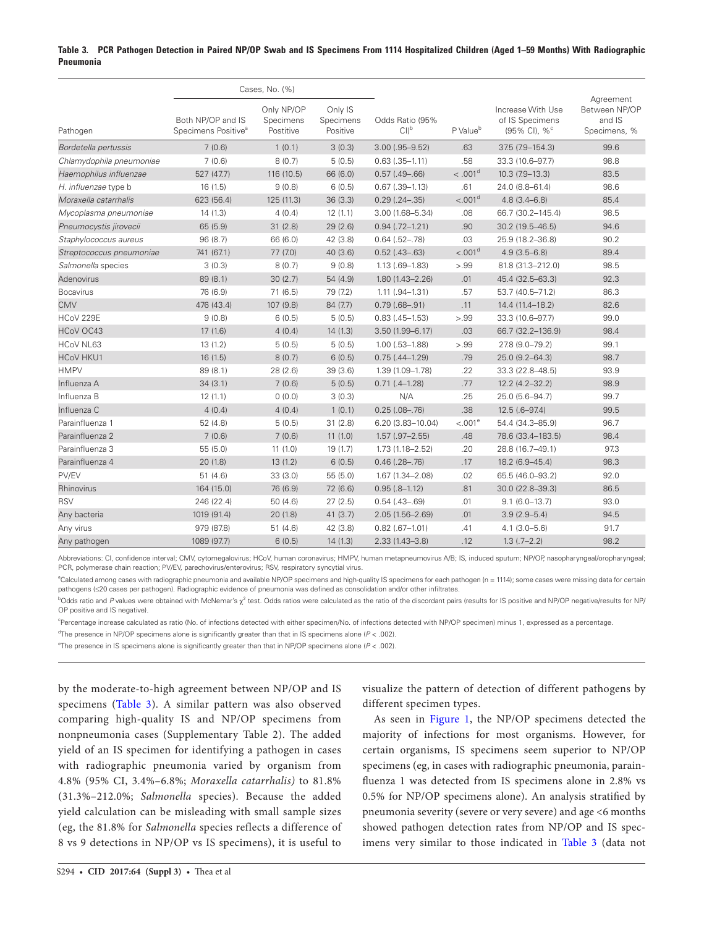## **Table 3. PCR Pathogen Detection in Paired NP/OP Swab and IS Specimens From 1114 Hospitalized Children (Aged 1–59 Months) With Radiographic Pneumonia**

|                          | Cases, No. (%)                                       |                                      |                                  |                                      |                        |                                                                  |                                                      |
|--------------------------|------------------------------------------------------|--------------------------------------|----------------------------------|--------------------------------------|------------------------|------------------------------------------------------------------|------------------------------------------------------|
| Pathogen                 | Both NP/OP and IS<br>Specimens Positive <sup>a</sup> | Only NP/OP<br>Specimens<br>Postitive | Only IS<br>Specimens<br>Positive | Odds Ratio (95%<br>$Cl$ <sup>b</sup> | P Value <sup>b</sup>   | Increase With Use<br>of IS Specimens<br>(95% CI), % <sup>c</sup> | Agreement<br>Between NP/OP<br>and IS<br>Specimens, % |
| Bordetella pertussis     | 7(0.6)                                               | 1(0.1)                               | 3(0.3)                           | $3.00$ (.95-9.52)                    | .63                    | 37.5 (7.9-154.3)                                                 | 99.6                                                 |
| Chlamydophila pneumoniae | 7(0.6)                                               | 8(0.7)                               | 5(0.5)                           | $0.63$ $(.35-1.11)$                  | .58                    | 33.3 (10.6-97.7)                                                 | 98.8                                                 |
| Haemophilus influenzae   | 527 (47.7)                                           | 116 (10.5)                           | 66 (6.0)                         | $0.57$ (.49-.66)                     | $< 0.001$ <sup>d</sup> | 10.3 (7.9-13.3)                                                  | 83.5                                                 |
| H. influenzae type b     | 16(1.5)                                              | 9(0.8)                               | 6(0.5)                           | $0.67$ $(.39-1.13)$                  | .61                    | 24.0 (8.8-61.4)                                                  | 98.6                                                 |
| Moraxella catarrhalis    | 623 (56.4)                                           | 125 (11.3)                           | 36(3.3)                          | $0.29$ $(.24-.35)$                   | < .001 <sup>d</sup>    | $4.8(3.4 - 6.8)$                                                 | 85.4                                                 |
| Mycoplasma pneumoniae    | 14(1.3)                                              | 4(0.4)                               | 12(1.1)                          | $3.00(1.68 - 5.34)$                  | .08                    | 66.7 (30.2-145.4)                                                | 98.5                                                 |
| Pneumocystis jirovecii   | 65(5.9)                                              | 31(2.8)                              | 29(2.6)                          | $0.94$ $(.72 - 1.21)$                | .90                    | 30.2 (19.5-46.5)                                                 | 94.6                                                 |
| Staphylococcus aureus    | 96(8.7)                                              | 66 (6.0)                             | 42 (3.8)                         | $0.64$ $(.52-.78)$                   | .03                    | 25.9 (18.2-36.8)                                                 | 90.2                                                 |
| Streptococcus pneumoniae | 741 (67.1)                                           | 77 (7.0)                             | 40(3.6)                          | $0.52$ (.43-.63)                     | < .001 <sup>d</sup>    | $4.9(3.5 - 6.8)$                                                 | 89.4                                                 |
| Salmonella species       | 3(0.3)                                               | 8(0.7)                               | 9(0.8)                           | $1.13(.69 - 1.83)$                   | > 0.99                 | 81.8 (31.3-212.0)                                                | 98.5                                                 |
| Adenovirus               | 89 (8.1)                                             | 30(2.7)                              | 54(4.9)                          | $1.80(1.43 - 2.26)$                  | .01                    | 45.4 (32.5-63.3)                                                 | 92.3                                                 |
| <b>Bocavirus</b>         | 76 (6.9)                                             | 71(6.5)                              | 79 (7.2)                         | $1.11(.94 - 1.31)$                   | .57                    | 53.7 (40.5-71.2)                                                 | 86.3                                                 |
| <b>CMV</b>               | 476 (43.4)                                           | 107 (9.8)                            | 84 (7.7)                         | $0.79(.68-.91)$                      | .11                    | 14.4 (11.4-18.2)                                                 | 82.6                                                 |
| HCoV 229E                | 9(0.8)                                               | 6(0.5)                               | 5(0.5)                           | $0.83$ (.45-1.53)                    | > 0.99                 | 33.3 (10.6-97.7)                                                 | 99.0                                                 |
| <b>HCoV OC43</b>         | 17(1.6)                                              | 4(0.4)                               | 14(1.3)                          | $3.50(1.99 - 6.17)$                  | .03                    | 66.7 (32.2-136.9)                                                | 98.4                                                 |
| HCoV NL63                | 13(1.2)                                              | 5(0.5)                               | 5(0.5)                           | $1.00$ $(.53 - 1.88)$                | > .99                  | 27.8 (9.0-79.2)                                                  | 99.1                                                 |
| <b>HCoV HKU1</b>         | 16(1.5)                                              | 8(0.7)                               | 6(0.5)                           | $0.75(.44-1.29)$                     | .79                    | 25.0 (9.2-64.3)                                                  | 98.7                                                 |
| <b>HMPV</b>              | 89 (8.1)                                             | 28(2.6)                              | 39(3.6)                          | 1.39 (1.09-1.78)                     | .22                    | 33.3 (22.8-48.5)                                                 | 93.9                                                 |
| Influenza A              | 34(3.1)                                              | 7(0.6)                               | 5(0.5)                           | $0.71(.4 - 1.28)$                    | .77                    | $12.2(4.2 - 32.2)$                                               | 98.9                                                 |
| Influenza B              | 12(1.1)                                              | 0(0.0)                               | 3(0.3)                           | N/A                                  | .25                    | 25.0 (5.6-94.7)                                                  | 99.7                                                 |
| Influenza C              | 4(0.4)                                               | 4(0.4)                               | 1(0.1)                           | $0.25(.08-.76)$                      | .38                    | $12.5(.6 - 97.4)$                                                | 99.5                                                 |
| Parainfluenza 1          | 52 (4.8)                                             | 5(0.5)                               | 31(2.8)                          | $6.20(3.83 - 10.04)$                 | $< 0.01^{\circ}$       | 54.4 (34.3-85.9)                                                 | 96.7                                                 |
| Parainfluenza 2          | 7(0.6)                                               | 7(0.6)                               | 11(1.0)                          | $1.57$ $(.97 - 2.55)$                | .48                    | 78.6 (33.4-183.5)                                                | 98.4                                                 |
| Parainfluenza 3          | 55 (5.0)                                             | 11(1,0)                              | 19(1.7)                          | 1.73 (1.18-2.52)                     | .20                    | 28.8 (16.7-49.1)                                                 | 97.3                                                 |
| Parainfluenza 4          | 20(1.8)                                              | 13(1.2)                              | 6(0.5)                           | $0.46$ $(.28-.76)$                   | .17                    | 18.2 (6.9-45.4)                                                  | 98.3                                                 |
| PV/EV                    | 51(4.6)                                              | 33(3.0)                              | 55(5.0)                          | 1.67 (1.34-2.08)                     | .02                    | 65.5 (46.0-93.2)                                                 | 92.0                                                 |
| Rhinovirus               | 164 (15.0)                                           | 76 (6.9)                             | 72 (6.6)                         | $0.95(.8 - 1.12)$                    | .81                    | 30.0 (22.8-39.3)                                                 | 86.5                                                 |
| <b>RSV</b>               | 246 (22.4)                                           | 50(4.6)                              | 27(2.5)                          | $0.54$ (.43-.69)                     | .01                    | $9.1(6.0-13.7)$                                                  | 93.0                                                 |
| Any bacteria             | 1019 (91.4)                                          | 20(1.8)                              | 41(3.7)                          | $2.05(1.56 - 2.69)$                  | .01                    | $3.9(2.9 - 5.4)$                                                 | 94.5                                                 |
| Any virus                | 979 (87.8)                                           | 51(4.6)                              | 42 (3.8)                         | $0.82$ (.67-1.01)                    | .41                    | $4.1(3.0 - 5.6)$                                                 | 91.7                                                 |
| Any pathogen             | 1089 (97.7)                                          | 6(0.5)                               | 14(1.3)                          | $2.33(1.43 - 3.8)$                   | .12                    | $1.3(.7-2.2)$                                                    | 98.2                                                 |

Abbreviations: CI, confidence interval; CMV, cytomegalovirus; HCoV, human coronavirus; HMPV, human metapneumovirus A/B; IS, induced sputum; NP/OP, nasopharyngeal/oropharyngeal; PCR, polymerase chain reaction; PV/EV, parechovirus/enterovirus; RSV, respiratory syncytial virus.

a Calculated among cases with radiographic pneumonia and available NP/OP specimens and high-quality IS specimens for each pathogen (n = 1114); some cases were missing data for certain pathogens (≤20 cases per pathogen). Radiographic evidence of pneumonia was defined as consolidation and/or other infiltrates.

bOdds ratio and *P* values were obtained with McNemar's  $\chi^2$  test. Odds ratios were calculated as the ratio of the discordant pairs (results for IS positive and NP/OP negative/results for NP, OP positive and IS negative).

c Percentage increase calculated as ratio (No. of infections detected with either specimen/No. of infections detected with NP/OP specimen) minus 1, expressed as a percentage.

d The presence in NP/OP specimens alone is significantly greater than that in IS specimens alone (*P* < .002).

e The presence in IS specimens alone is significantly greater than that in NP/OP specimens alone (*P* < .002).

by the moderate-to-high agreement between NP/OP and IS specimens (Table 3). A similar pattern was also observed comparing high-quality IS and NP/OP specimens from nonpneumonia cases (Supplementary Table 2). The added yield of an IS specimen for identifying a pathogen in cases with radiographic pneumonia varied by organism from 4.8% (95% CI, 3.4%–6.8%; *Moraxella catarrhalis)* to 81.8% (31.3%–212.0%; *Salmonella* species). Because the added yield calculation can be misleading with small sample sizes (eg, the 81.8% for *Salmonella* species reflects a difference of 8 vs 9 detections in NP/OP vs IS specimens), it is useful to visualize the pattern of detection of different pathogens by different specimen types.

As seen in Figure 1, the NP/OP specimens detected the majority of infections for most organisms. However, for certain organisms, IS specimens seem superior to NP/OP specimens (eg, in cases with radiographic pneumonia, parainfluenza 1 was detected from IS specimens alone in 2.8% vs 0.5% for NP/OP specimens alone). An analysis stratified by pneumonia severity (severe or very severe) and age <6 months showed pathogen detection rates from NP/OP and IS specimens very similar to those indicated in Table 3 (data not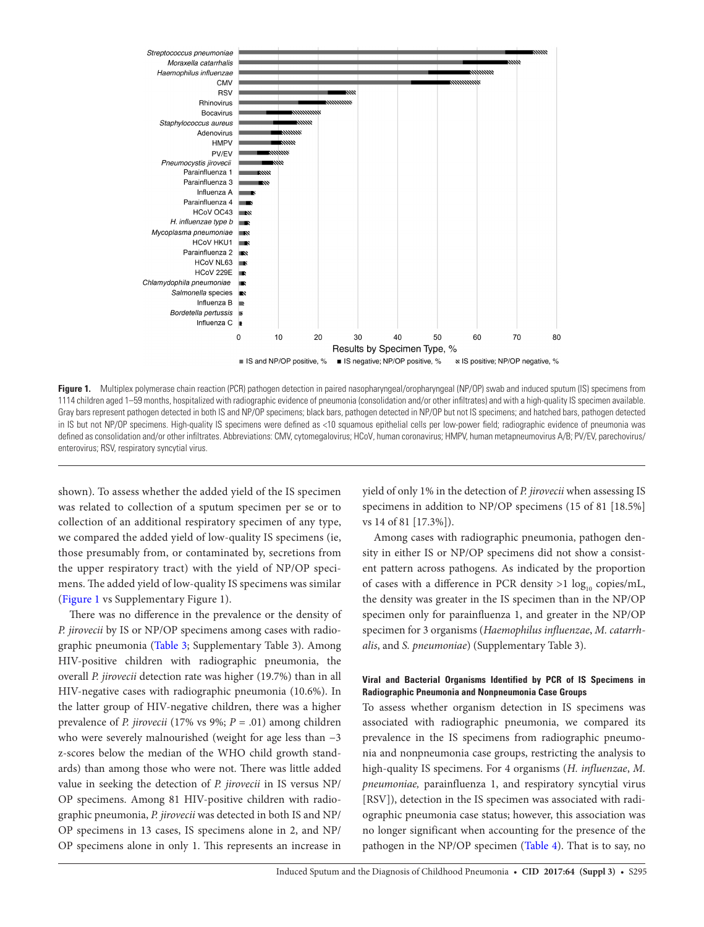

Figure 1. Multiplex polymerase chain reaction (PCR) pathogen detection in paired nasopharyngeal/oropharyngeal (NP/OP) swab and induced sputum (IS) specimens from 1114 children aged 1–59 months, hospitalized with radiographic evidence of pneumonia (consolidation and/or other infiltrates) and with a high-quality IS specimen available. Gray bars represent pathogen detected in both IS and NP/OP specimens; black bars, pathogen detected in NP/OP but not IS specimens; and hatched bars, pathogen detected in IS but not NP/OP specimens. High-quality IS specimens were defined as <10 squamous epithelial cells per low-power field; radiographic evidence of pneumonia was defined as consolidation and/or other infiltrates. Abbreviations: CMV, cytomegalovirus; HCoV, human coronavirus; HMPV, human metapneumovirus A/B; PV/EV, parechovirus/ enterovirus; RSV, respiratory syncytial virus.

shown). To assess whether the added yield of the IS specimen was related to collection of a sputum specimen per se or to collection of an additional respiratory specimen of any type, we compared the added yield of low-quality IS specimens (ie, those presumably from, or contaminated by, secretions from the upper respiratory tract) with the yield of NP/OP specimens. The added yield of low-quality IS specimens was similar (Figure 1 vs Supplementary Figure 1).

There was no difference in the prevalence or the density of *P. jirovecii* by IS or NP/OP specimens among cases with radiographic pneumonia (Table 3; Supplementary Table 3). Among HIV-positive children with radiographic pneumonia, the overall *P. jirovecii* detection rate was higher (19.7%) than in all HIV-negative cases with radiographic pneumonia (10.6%). In the latter group of HIV-negative children, there was a higher prevalence of *P. jirovecii* (17% vs 9%; *P* = .01) among children who were severely malnourished (weight for age less than −3 z-scores below the median of the WHO child growth standards) than among those who were not. There was little added value in seeking the detection of *P. jirovecii* in IS versus NP/ OP specimens. Among 81 HIV-positive children with radiographic pneumonia, *P. jirovecii* was detected in both IS and NP/ OP specimens in 13 cases, IS specimens alone in 2, and NP/ OP specimens alone in only 1. This represents an increase in

yield of only 1% in the detection of *P. jirovecii* when assessing IS specimens in addition to NP/OP specimens (15 of 81 [18.5%] vs 14 of 81 [17.3%]).

Among cases with radiographic pneumonia, pathogen density in either IS or NP/OP specimens did not show a consistent pattern across pathogens. As indicated by the proportion of cases with a difference in PCR density  $>1$  log<sub>10</sub> copies/mL, the density was greater in the IS specimen than in the NP/OP specimen only for parainfluenza 1, and greater in the NP/OP specimen for 3 organisms (*Haemophilus influenzae*, *M. catarrhalis*, and *S. pneumoniae*) (Supplementary Table 3).

### **Viral and Bacterial Organisms Identified by PCR of IS Specimens in Radiographic Pneumonia and Nonpneumonia Case Groups**

To assess whether organism detection in IS specimens was associated with radiographic pneumonia, we compared its prevalence in the IS specimens from radiographic pneumonia and nonpneumonia case groups, restricting the analysis to high-quality IS specimens. For 4 organisms (*H. influenzae*, *M. pneumoniae,* parainfluenza 1, and respiratory syncytial virus [RSV]), detection in the IS specimen was associated with radiographic pneumonia case status; however, this association was no longer significant when accounting for the presence of the pathogen in the NP/OP specimen (Table 4). That is to say, no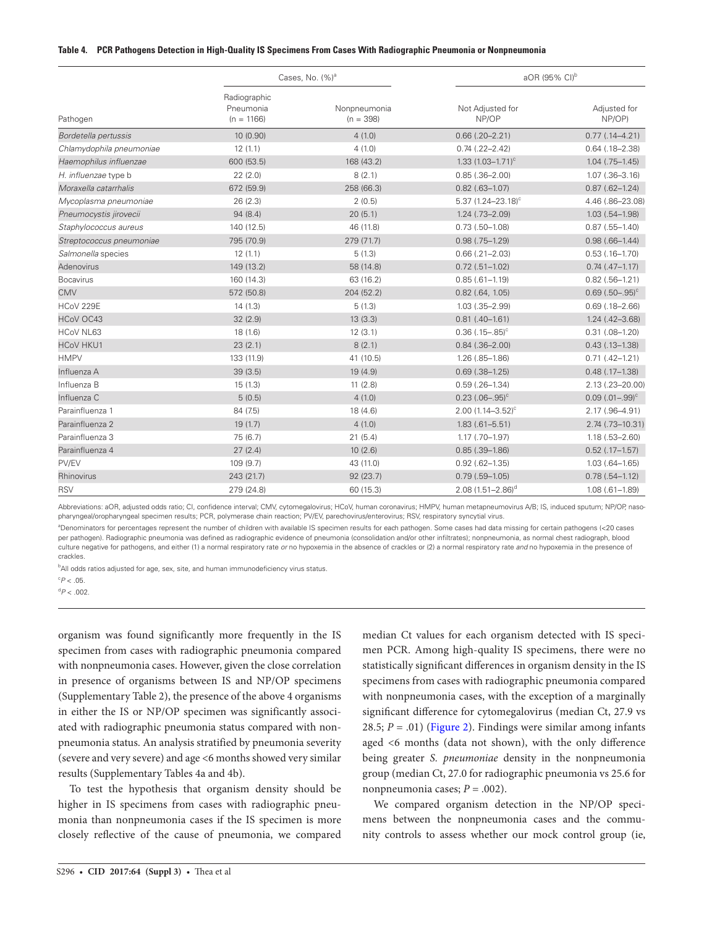#### **Table 4. PCR Pathogens Detection in High-Quality IS Specimens From Cases With Radiographic Pneumonia or Nonpneumonia**

|                          |                                           | Cases, No. (%) <sup>a</sup> | aOR (95% CI) <sup>b</sup>        |                        |
|--------------------------|-------------------------------------------|-----------------------------|----------------------------------|------------------------|
| Pathogen                 | Radiographic<br>Pneumonia<br>$(n = 1166)$ | Nonpneumonia<br>$(n = 398)$ | Not Adjusted for<br>NP/OP        | Adjusted for<br>NP/OP) |
| Bordetella pertussis     | 10 (0.90)                                 | 4(1.0)                      | $0.66$ $(.20-2.21)$              | $0.77$ $(.14-4.21)$    |
| Chlamydophila pneumoniae | 12(1.1)                                   | 4(1.0)                      | $0.74$ $(.22-2.42)$              | $0.64$ (.18-2.38)      |
| Haemophilus influenzae   | 600 (53.5)                                | 168 (43.2)                  | 1.33 $(1.03 - 1.71)^c$           | $1.04$ $(.75-1.45)$    |
| H. influenzae type b     | 22(2.0)                                   | 8(2.1)                      | $0.85(.36 - 2.00)$               | $1.07$ $(.36 - 3.16)$  |
| Moraxella catarrhalis    | 672 (59.9)                                | 258 (66.3)                  | $0.82$ (.63-1.07)                | $0.87$ (.62-1.24)      |
| Mycoplasma pneumoniae    | 26 (2.3)                                  | 2(0.5)                      | $5.37$ (1.24-23.18) <sup>c</sup> | 4.46 (.86-23.08)       |
| Pneumocystis jirovecii   | 94 (8.4)                                  | 20(5.1)                     | $1.24$ $(.73 - 2.09)$            | $1.03(.54 - 1.98)$     |
| Staphylococcus aureus    | 140 (12.5)                                | 46 (11.8)                   | $0.73$ $(.50-1.08)$              | $0.87$ (.55-1.40)      |
| Streptococcus pneumoniae | 795 (70.9)                                | 279 (71.7)                  | $0.98$ $(.75-1.29)$              | $0.98(.66-1.44)$       |
| Salmonella species       | 12(1.1)                                   | 5(1.3)                      | $0.66$ $(.21 - 2.03)$            | $0.53$ $(.16-1.70)$    |
| Adenovirus               | 149 (13.2)                                | 58 (14.8)                   | $0.72$ $(.51-1.02)$              | $0.74$ $(.47-1.17)$    |
| <b>Bocavirus</b>         | 160 (14.3)                                | 63 (16.2)                   | $0.85(.61 - 1.19)$               | $0.82$ (.56-1.21)      |
| <b>CMV</b>               | 572 (50.8)                                | 204 (52.2)                  | $0.82$ (.64, 1.05)               | $0.69(.50-.95)^c$      |
| HCoV 229E                | 14(1.3)                                   | 5(1.3)                      | $1.03$ $(.35 - 2.99)$            | $0.69$ $(.18 - 2.66)$  |
| HCoV OC43                | 32(2.9)                                   | 13(3.3)                     | $0.81(.40-1.61)$                 | $1.24$ (.42-3.68)      |
| HCoV NL63                | 18(1.6)                                   | 12(3.1)                     | $0.36$ (.15-.85) <sup>c</sup>    | $0.31$ $(.08-1.20)$    |
| <b>HCoV HKU1</b>         | 23(2.1)                                   | 8(2.1)                      | $0.84$ $(.36 - 2.00)$            | $0.43$ (.13-1.38)      |
| <b>HMPV</b>              | 133 (11.9)                                | 41 (10.5)                   | $1.26$ $(.85-1.86)$              | $0.71(.42 - 1.21)$     |
| Influenza A              | 39(3.5)                                   | 19 (4.9)                    | $0.69$ $(.38-1.25)$              | $0.48$ $(.17-1.38)$    |
| Influenza B              | 15(1.3)                                   | 11(2.8)                     | $0.59$ $(.26-1.34)$              | 2.13 (.23-20.00)       |
| Influenza C              | 5(0.5)                                    | 4(1.0)                      | $0.23(.06-.95)^c$                | $0.09$ $(.01-.99)^c$   |
| Parainfluenza 1          | 84 (7.5)                                  | 18 (4.6)                    | 2.00 $(1.14 - 3.52)^c$           | 2.17 (.96-4.91)        |
| Parainfluenza 2          | 19(1.7)                                   | 4(1.0)                      | $1.83(.61 - 5.51)$               | 2.74 (.73-10.31)       |
| Parainfluenza 3          | 75 (6.7)                                  | 21(5.4)                     | $1.17$ $(.70-1.97)$              | $1.18(.53 - 2.60)$     |
| Parainfluenza 4          | 27(2.4)                                   | 10(2.6)                     | $0.85$ $(.39-1.86)$              | $0.52$ (.17-1.57)      |
| PV/EV                    | 109 (9.7)                                 | 43 (11.0)                   | $0.92$ (.62-1.35)                | $1.03(.64 - 1.65)$     |
| Rhinovirus               | 243 (21.7)                                | 92 (23.7)                   | $0.79$ $(.59-1.05)$              | $0.78(.54 - 1.12)$     |
| <b>RSV</b>               | 279 (24.8)                                | 60 (15.3)                   | 2.08 $(1.51 - 2.86)^d$           | $1.08(.61 - 1.89)$     |

Abbreviations: aOR, adjusted odds ratio; CI, confidence interval; CMV, cytomegalovirus; HCoV, human coronavirus; HMPV, human metapneumovirus A/B; IS, induced sputum; NP/OP, nasopharyngeal/oropharyngeal specimen results; PCR, polymerase chain reaction; PV/EV, parechovirus/enterovirus; RSV, respiratory syncytial virus.

a Denominators for percentages represent the number of children with available IS specimen results for each pathogen. Some cases had data missing for certain pathogens (<20 cases per pathogen). Radiographic pneumonia was defined as radiographic evidence of pneumonia (consolidation and/or other infiltrates); nonpneumonia, as normal chest radiograph, blood culture negative for pathogens, and either (1) a normal respiratory rate *or* no hypoxemia in the absence of crackles or (2) a normal respiratory rate *and* no hypoxemia in the presence of crackles.

**bAll odds ratios adjusted for age, sex, site, and human immunodeficiency virus status.** 

 $\degree P$  < .05.

 $^{\text{d}}P < .002$ .

organism was found significantly more frequently in the IS specimen from cases with radiographic pneumonia compared with nonpneumonia cases. However, given the close correlation in presence of organisms between IS and NP/OP specimens (Supplementary Table 2), the presence of the above 4 organisms in either the IS or NP/OP specimen was significantly associated with radiographic pneumonia status compared with nonpneumonia status. An analysis stratified by pneumonia severity (severe and very severe) and age <6 months showed very similar results (Supplementary Tables 4a and 4b).

To test the hypothesis that organism density should be higher in IS specimens from cases with radiographic pneumonia than nonpneumonia cases if the IS specimen is more closely reflective of the cause of pneumonia, we compared

median Ct values for each organism detected with IS specimen PCR. Among high-quality IS specimens, there were no statistically significant differences in organism density in the IS specimens from cases with radiographic pneumonia compared with nonpneumonia cases, with the exception of a marginally significant difference for cytomegalovirus (median Ct, 27.9 vs 28.5;  $P = .01$ ) (Figure 2). Findings were similar among infants aged <6 months (data not shown), with the only difference being greater *S. pneumoniae* density in the nonpneumonia group (median Ct, 27.0 for radiographic pneumonia vs 25.6 for nonpneumonia cases;  $P = .002$ ).

We compared organism detection in the NP/OP specimens between the nonpneumonia cases and the community controls to assess whether our mock control group (ie,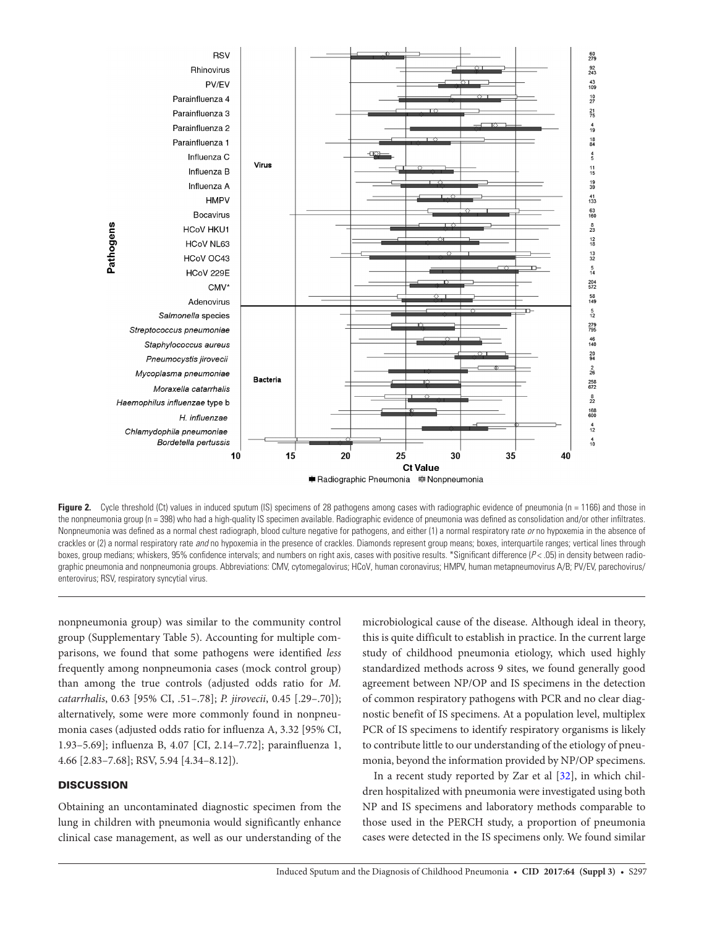

**Figure 2.** Cycle threshold (Ct) values in induced sputum (IS) specimens of 28 pathogens among cases with radiographic evidence of pneumonia (n = 1166) and those in the nonpneumonia group (n = 398) who had a high-quality IS specimen available. Radiographic evidence of pneumonia was defined as consolidation and/or other infiltrates. Nonpneumonia was defined as a normal chest radiograph, blood culture negative for pathogens, and either (1) a normal respiratory rate *or* no hypoxemia in the absence of crackles or (2) a normal respiratory rate *and* no hypoxemia in the presence of crackles. Diamonds represent group means; boxes, interquartile ranges; vertical lines through boxes, group medians; whiskers, 95% confidence intervals; and numbers on right axis, cases with positive results. \*Significant difference ( $P$ < .05) in density between radiographic pneumonia and nonpneumonia groups. Abbreviations: CMV, cytomegalovirus; HCoV, human coronavirus; HMPV, human metapneumovirus A/B; PV/EV, parechovirus/ enterovirus; RSV, respiratory syncytial virus.

nonpneumonia group) was similar to the community control group (Supplementary Table 5). Accounting for multiple comparisons, we found that some pathogens were identified *less* frequently among nonpneumonia cases (mock control group) than among the true controls (adjusted odds ratio for *M. catarrhalis*, 0.63 [95% CI, .51–.78]; *P. jirovecii*, 0.45 [.29–.70]); alternatively, some were more commonly found in nonpneumonia cases (adjusted odds ratio for influenza A, 3.32 [95% CI, 1.93–5.69]; influenza B, 4.07 [CI, 2.14–7.72]; parainfluenza 1, 4.66 [2.83–7.68]; RSV, 5.94 [4.34–8.12]).

# **DISCUSSION**

Obtaining an uncontaminated diagnostic specimen from the lung in children with pneumonia would significantly enhance clinical case management, as well as our understanding of the microbiological cause of the disease. Although ideal in theory, this is quite difficult to establish in practice. In the current large study of childhood pneumonia etiology, which used highly standardized methods across 9 sites, we found generally good agreement between NP/OP and IS specimens in the detection of common respiratory pathogens with PCR and no clear diagnostic benefit of IS specimens. At a population level, multiplex PCR of IS specimens to identify respiratory organisms is likely to contribute little to our understanding of the etiology of pneumonia, beyond the information provided by NP/OP specimens.

In a recent study reported by Zar et al [32], in which children hospitalized with pneumonia were investigated using both NP and IS specimens and laboratory methods comparable to those used in the PERCH study, a proportion of pneumonia cases were detected in the IS specimens only. We found similar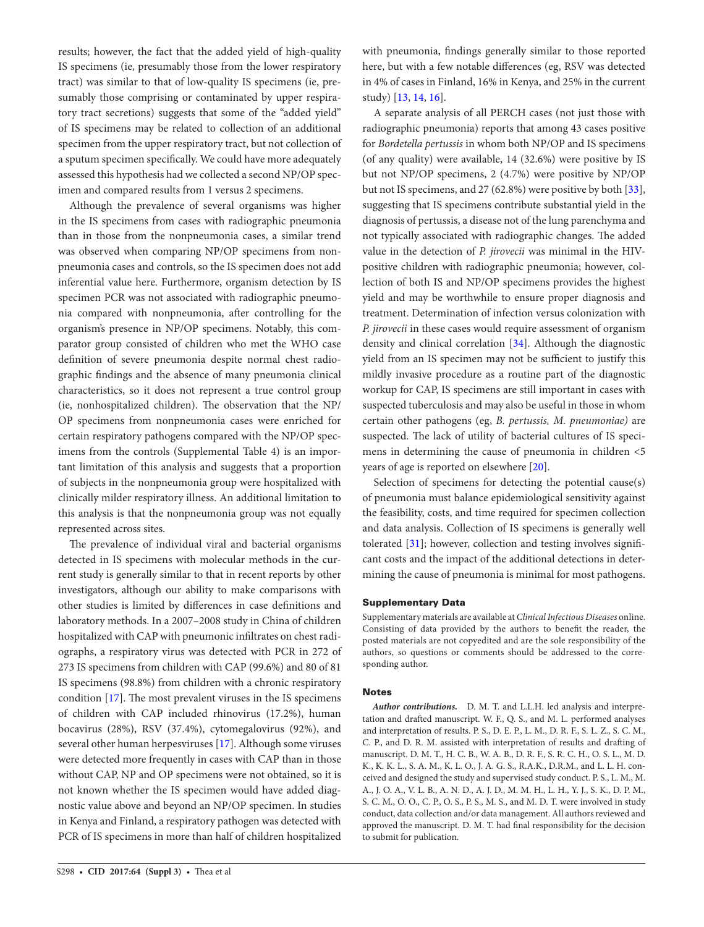results; however, the fact that the added yield of high-quality IS specimens (ie, presumably those from the lower respiratory tract) was similar to that of low-quality IS specimens (ie, presumably those comprising or contaminated by upper respiratory tract secretions) suggests that some of the "added yield" of IS specimens may be related to collection of an additional specimen from the upper respiratory tract, but not collection of a sputum specimen specifically. We could have more adequately assessed this hypothesis had we collected a second NP/OP specimen and compared results from 1 versus 2 specimens.

Although the prevalence of several organisms was higher in the IS specimens from cases with radiographic pneumonia than in those from the nonpneumonia cases, a similar trend was observed when comparing NP/OP specimens from nonpneumonia cases and controls, so the IS specimen does not add inferential value here. Furthermore, organism detection by IS specimen PCR was not associated with radiographic pneumonia compared with nonpneumonia, after controlling for the organism's presence in NP/OP specimens. Notably, this comparator group consisted of children who met the WHO case definition of severe pneumonia despite normal chest radiographic findings and the absence of many pneumonia clinical characteristics, so it does not represent a true control group (ie, nonhospitalized children). The observation that the NP/ OP specimens from nonpneumonia cases were enriched for certain respiratory pathogens compared with the NP/OP specimens from the controls (Supplemental Table 4) is an important limitation of this analysis and suggests that a proportion of subjects in the nonpneumonia group were hospitalized with clinically milder respiratory illness. An additional limitation to this analysis is that the nonpneumonia group was not equally represented across sites.

The prevalence of individual viral and bacterial organisms detected in IS specimens with molecular methods in the current study is generally similar to that in recent reports by other investigators, although our ability to make comparisons with other studies is limited by differences in case definitions and laboratory methods. In a 2007–2008 study in China of children hospitalized with CAP with pneumonic infiltrates on chest radiographs, a respiratory virus was detected with PCR in 272 of 273 IS specimens from children with CAP (99.6%) and 80 of 81 IS specimens (98.8%) from children with a chronic respiratory condition [17]. The most prevalent viruses in the IS specimens of children with CAP included rhinovirus (17.2%), human bocavirus (28%), RSV (37.4%), cytomegalovirus (92%), and several other human herpesviruses [17]. Although some viruses were detected more frequently in cases with CAP than in those without CAP, NP and OP specimens were not obtained, so it is not known whether the IS specimen would have added diagnostic value above and beyond an NP/OP specimen. In studies in Kenya and Finland, a respiratory pathogen was detected with PCR of IS specimens in more than half of children hospitalized

with pneumonia, findings generally similar to those reported here, but with a few notable differences (eg, RSV was detected in 4% of cases in Finland, 16% in Kenya, and 25% in the current study) [13, 14, 16].

A separate analysis of all PERCH cases (not just those with radiographic pneumonia) reports that among 43 cases positive for *Bordetella pertussis* in whom both NP/OP and IS specimens (of any quality) were available, 14 (32.6%) were positive by IS but not NP/OP specimens, 2 (4.7%) were positive by NP/OP but not IS specimens, and 27 (62.8%) were positive by both [33], suggesting that IS specimens contribute substantial yield in the diagnosis of pertussis, a disease not of the lung parenchyma and not typically associated with radiographic changes. The added value in the detection of *P. jirovecii* was minimal in the HIVpositive children with radiographic pneumonia; however, collection of both IS and NP/OP specimens provides the highest yield and may be worthwhile to ensure proper diagnosis and treatment. Determination of infection versus colonization with *P. jirovecii* in these cases would require assessment of organism density and clinical correlation [34]. Although the diagnostic yield from an IS specimen may not be sufficient to justify this mildly invasive procedure as a routine part of the diagnostic workup for CAP, IS specimens are still important in cases with suspected tuberculosis and may also be useful in those in whom certain other pathogens (eg, *B. pertussis, M. pneumoniae)* are suspected. The lack of utility of bacterial cultures of IS specimens in determining the cause of pneumonia in children <5 years of age is reported on elsewhere [20].

Selection of specimens for detecting the potential cause(s) of pneumonia must balance epidemiological sensitivity against the feasibility, costs, and time required for specimen collection and data analysis. Collection of IS specimens is generally well tolerated [31]; however, collection and testing involves significant costs and the impact of the additional detections in determining the cause of pneumonia is minimal for most pathogens.

### Supplementary Data

Supplementary materials are available at *Clinical Infectious Diseases* online. Consisting of data provided by the authors to benefit the reader, the posted materials are not copyedited and are the sole responsibility of the authors, so questions or comments should be addressed to the corresponding author.

#### Notes

*Author contributions.* D. M. T. and L.L.H. led analysis and interpretation and drafted manuscript. W. F., Q. S., and M. L. performed analyses and interpretation of results. P. S., D. E. P., L. M., D. R. F., S. L. Z., S. C. M., C. P., and D. R. M. assisted with interpretation of results and drafting of manuscript. D. M. T., H. C. B., W. A. B., D. R. F., S. R. C. H., O. S. L., M. D. K., K. K. L., S. A. M., K. L. O., J. A. G. S., R.A.K., D.R.M., and L. L. H. conceived and designed the study and supervised study conduct. P. S., L. M., M. A., J. O. A., V. L. B., A. N. D., A. J. D., M. M. H., L. H., Y. J., S. K., D. P. M., S. C. M., O. O., C. P., O. S., P. S., M. S., and M. D. T. were involved in study conduct, data collection and/or data management. All authors reviewed and approved the manuscript. D. M. T. had final responsibility for the decision to submit for publication.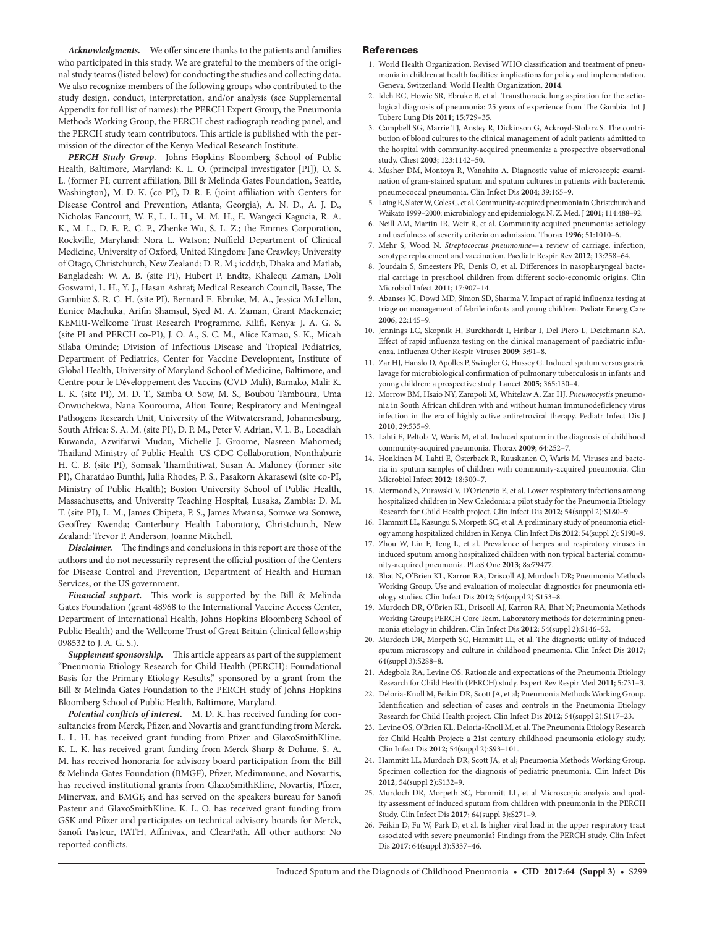*Acknowledgments.* We offer sincere thanks to the patients and families who participated in this study. We are grateful to the members of the original study teams (listed below) for conducting the studies and collecting data. We also recognize members of the following groups who contributed to the study design, conduct, interpretation, and/or analysis (see Supplemental Appendix for full list of names): the PERCH Expert Group, the Pneumonia Methods Working Group, the PERCH chest radiograph reading panel, and the PERCH study team contributors. This article is published with the permission of the director of the Kenya Medical Research Institute.

*PERCH Study Group*. Johns Hopkins Bloomberg School of Public Health, Baltimore, Maryland: K. L. O. (principal investigator [PI]), O. S. L. (former PI; current affiliation, Bill & Melinda Gates Foundation, Seattle, Washington**),** M. D. K. (co-PI), D. R. F. (joint affiliation with Centers for Disease Control and Prevention, Atlanta, Georgia), A. N. D., A. J. D., Nicholas Fancourt, W. F., L. L. H., M. M. H., E. Wangeci Kagucia, R. A. K., M. L., D. E. P., C. P., Zhenke Wu, S. L. Z.; the Emmes Corporation, Rockville, Maryland: Nora L. Watson; Nuffield Department of Clinical Medicine, University of Oxford, United Kingdom: Jane Crawley; University of Otago, Christchurch, New Zealand: D. R. M.; icddr,b, Dhaka and Matlab, Bangladesh: W. A. B. (site PI), Hubert P. Endtz, Khalequ Zaman, Doli Goswami, L. H., Y. J., Hasan Ashraf; Medical Research Council, Basse, The Gambia: S. R. C. H. (site PI), Bernard E. Ebruke, M. A., Jessica McLellan, Eunice Machuka, Arifin Shamsul, Syed M. A. Zaman, Grant Mackenzie; KEMRI-Wellcome Trust Research Programme, Kilifi, Kenya: J. A. G. S. (site PI and PERCH co-PI), J. O. A., S. C. M., Alice Kamau, S. K., Micah Silaba Ominde; Division of Infectious Disease and Tropical Pediatrics, Department of Pediatrics, Center for Vaccine Development, Institute of Global Health, University of Maryland School of Medicine, Baltimore, and Centre pour le Développement des Vaccins (CVD-Mali), Bamako, Mali: K. L. K. (site PI), M. D. T., Samba O. Sow, M. S., Boubou Tamboura, Uma Onwuchekwa, Nana Kourouma, Aliou Toure; Respiratory and Meningeal Pathogens Research Unit, University of the Witwatersrand, Johannesburg, South Africa: S. A. M. (site PI), D. P. M., Peter V. Adrian, V. L. B., Locadiah Kuwanda, Azwifarwi Mudau, Michelle J. Groome, Nasreen Mahomed; Thailand Ministry of Public Health–US CDC Collaboration, Nonthaburi: H. C. B. (site PI), Somsak Thamthitiwat, Susan A. Maloney (former site PI), Charatdao Bunthi, Julia Rhodes, P. S., Pasakorn Akarasewi (site co-PI, Ministry of Public Health); Boston University School of Public Health, Massachusetts, and University Teaching Hospital, Lusaka, Zambia: D. M. T. (site PI), L. M., James Chipeta, P. S., James Mwansa, Somwe wa Somwe, Geoffrey Kwenda; Canterbury Health Laboratory, Christchurch, New Zealand: Trevor P. Anderson, Joanne Mitchell.

*Disclaimer.* The findings and conclusions in this report are those of the authors and do not necessarily represent the official position of the Centers for Disease Control and Prevention, Department of Health and Human Services, or the US government.

*Financial support.* This work is supported by the Bill & Melinda Gates Foundation (grant 48968 to the International Vaccine Access Center, Department of International Health, Johns Hopkins Bloomberg School of Public Health) and the Wellcome Trust of Great Britain (clinical fellowship 098532 to J. A. G. S.).

*Supplement sponsorship.* This article appears as part of the supplement "Pneumonia Etiology Research for Child Health (PERCH): Foundational Basis for the Primary Etiology Results," sponsored by a grant from the Bill & Melinda Gates Foundation to the PERCH study of Johns Hopkins Bloomberg School of Public Health, Baltimore, Maryland.

*Potential conflicts of interest.* M. D. K. has received funding for consultancies from Merck, Pfizer, and Novartis and grant funding from Merck. L. L. H. has received grant funding from Pfizer and GlaxoSmithKline. K. L. K. has received grant funding from Merck Sharp & Dohme. S. A. M. has received honoraria for advisory board participation from the Bill & Melinda Gates Foundation (BMGF), Pfizer, Medimmune, and Novartis, has received institutional grants from GlaxoSmithKline, Novartis, Pfizer, Minervax, and BMGF, and has served on the speakers bureau for Sanofi Pasteur and GlaxoSmithKline. K. L. O. has received grant funding from GSK and Pfizer and participates on technical advisory boards for Merck, Sanofi Pasteur, PATH, Affinivax, and ClearPath. All other authors: No reported conflicts.

#### References

- 1. World Health Organization. Revised WHO classification and treatment of pneumonia in children at health facilities: implications for policy and implementation. Geneva, Switzerland: World Health Organization, **2014**.
- 2. Ideh RC, Howie SR, Ebruke B, et al. Transthoracic lung aspiration for the aetiological diagnosis of pneumonia: 25 years of experience from The Gambia. Int J Tuberc Lung Dis **2011**; 15:729–35.
- 3. Campbell SG, Marrie TJ, Anstey R, Dickinson G, Ackroyd-Stolarz S. The contribution of blood cultures to the clinical management of adult patients admitted to the hospital with community-acquired pneumonia: a prospective observational study. Chest **2003**; 123:1142–50.
- 4. Musher DM, Montoya R, Wanahita A. Diagnostic value of microscopic examination of gram-stained sputum and sputum cultures in patients with bacteremic pneumococcal pneumonia. Clin Infect Dis **2004**; 39:165–9.
- 5. Laing R, Slater W, Coles C, et al. Community-acquired pneumonia in Christchurch and Waikato 1999–2000: microbiology and epidemiology. N. Z. Med. J **2001**; 114:488–92.
- 6. Neill AM, Martin IR, Weir R, et al. Community acquired pneumonia: aetiology and usefulness of severity criteria on admission. Thorax **1996**; 51:1010–6.
- 7. Mehr S, Wood N. *Streptococcus pneumoniae*—a review of carriage, infection, serotype replacement and vaccination. Paediatr Respir Rev **2012**; 13:258–64.
- 8. Jourdain S, Smeesters PR, Denis O, et al. Differences in nasopharyngeal bacterial carriage in preschool children from different socio-economic origins. Clin Microbiol Infect **2011**; 17:907–14.
- 9. Abanses JC, Dowd MD, Simon SD, Sharma V. Impact of rapid influenza testing at triage on management of febrile infants and young children. Pediatr Emerg Care **2006**; 22:145–9.
- 10. Jennings LC, Skopnik H, Burckhardt I, Hribar I, Del Piero L, Deichmann KA. Effect of rapid influenza testing on the clinical management of paediatric influenza. Influenza Other Respir Viruses **2009**; 3:91–8.
- 11. Zar HJ, Hanslo D, Apolles P, Swingler G, Hussey G. Induced sputum versus gastric lavage for microbiological confirmation of pulmonary tuberculosis in infants and young children: a prospective study. Lancet **2005**; 365:130–4.
- 12. Morrow BM, Hsaio NY, Zampoli M, Whitelaw A, Zar HJ. *Pneumocystis* pneumonia in South African children with and without human immunodeficiency virus infection in the era of highly active antiretroviral therapy. Pediatr Infect Dis J **2010**; 29:535–9.
- 13. Lahti E, Peltola V, Waris M, et al. Induced sputum in the diagnosis of childhood community-acquired pneumonia. Thorax **2009**; 64:252–7.
- 14. Honkinen M, Lahti E, Österback R, Ruuskanen O, Waris M. Viruses and bacteria in sputum samples of children with community-acquired pneumonia. Clin Microbiol Infect **2012**; 18:300–7.
- 15. Mermond S, Zurawski V, D'Ortenzio E, et al. Lower respiratory infections among hospitalized children in New Caledonia: a pilot study for the Pneumonia Etiology Research for Child Health project. Clin Infect Dis **2012**; 54(suppl 2):S180–9.
- 16. Hammitt LL, Kazungu S, Morpeth SC, et al. A preliminary study of pneumonia etiology among hospitalized children in Kenya. Clin Infect Dis **2012**; 54(suppl 2): S190–9.
- 17. Zhou W, Lin F, Teng L, et al. Prevalence of herpes and respiratory viruses in induced sputum among hospitalized children with non typical bacterial community-acquired pneumonia. PLoS One **2013**; 8:e79477.
- 18. Bhat N, O'Brien KL, Karron RA, Driscoll AJ, Murdoch DR; Pneumonia Methods Working Group. Use and evaluation of molecular diagnostics for pneumonia etiology studies. Clin Infect Dis **2012**; 54(suppl 2):S153–8.
- 19. Murdoch DR, O'Brien KL, Driscoll AJ, Karron RA, Bhat N; Pneumonia Methods Working Group; PERCH Core Team. Laboratory methods for determining pneumonia etiology in children. Clin Infect Dis **2012**; 54(suppl 2):S146–52.
- 20. Murdoch DR, Morpeth SC, Hammitt LL, et al. The diagnostic utility of induced sputum microscopy and culture in childhood pneumonia. Clin Infect Dis **2017**; 64(suppl 3):S288–8.
- 21. Adegbola RA, Levine OS. Rationale and expectations of the Pneumonia Etiology Research for Child Health (PERCH) study. Expert Rev Respir Med **2011**; 5:731–3.
- 22. Deloria-Knoll M, Feikin DR, Scott JA, et al; Pneumonia Methods Working Group. Identification and selection of cases and controls in the Pneumonia Etiology Research for Child Health project. Clin Infect Dis **2012**; 54(suppl 2):S117–23.
- 23. Levine OS, O'Brien KL, Deloria-Knoll M, et al. The Pneumonia Etiology Research for Child Health Project: a 21st century childhood pneumonia etiology study. Clin Infect Dis **2012**; 54(suppl 2):S93–101.
- 24. Hammitt LL, Murdoch DR, Scott JA, et al; Pneumonia Methods Working Group. Specimen collection for the diagnosis of pediatric pneumonia. Clin Infect Dis **2012**; 54(suppl 2):S132–9.
- 25. Murdoch DR, Morpeth SC, Hammitt LL, et al Microscopic analysis and quality assessment of induced sputum from children with pneumonia in the PERCH Study. Clin Infect Dis **2017**; 64(suppl 3):S271–9.
- 26. Feikin D, Fu W, Park D, et al. Is higher viral load in the upper respiratory tract associated with severe pneumonia? Findings from the PERCH study. Clin Infect Dis **2017**; 64(suppl 3):S337–46.